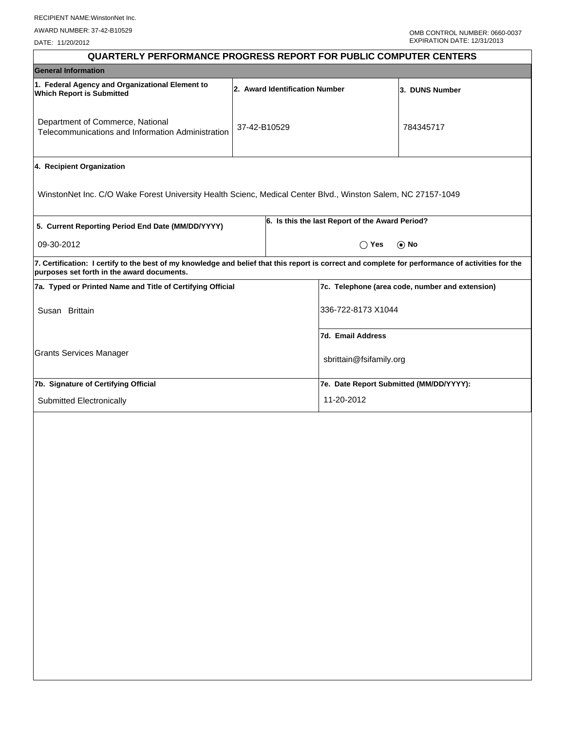DATE: 11/20/2012

| <b>QUARTERLY PERFORMANCE PROGRESS REPORT FOR PUBLIC COMPUTER CENTERS</b>                                                                                                                        |                                |                                                 |                                                 |                                         |  |  |  |
|-------------------------------------------------------------------------------------------------------------------------------------------------------------------------------------------------|--------------------------------|-------------------------------------------------|-------------------------------------------------|-----------------------------------------|--|--|--|
| <b>General Information</b>                                                                                                                                                                      |                                |                                                 |                                                 |                                         |  |  |  |
| 1. Federal Agency and Organizational Element to<br><b>Which Report is Submitted</b>                                                                                                             | 2. Award Identification Number |                                                 |                                                 | 3. DUNS Number                          |  |  |  |
| Department of Commerce, National<br>Telecommunications and Information Administration                                                                                                           | 37-42-B10529                   |                                                 |                                                 | 784345717                               |  |  |  |
| 4. Recipient Organization                                                                                                                                                                       |                                |                                                 |                                                 |                                         |  |  |  |
| WinstonNet Inc. C/O Wake Forest University Health Scienc, Medical Center Blvd., Winston Salem, NC 27157-1049                                                                                    |                                |                                                 |                                                 |                                         |  |  |  |
| 5. Current Reporting Period End Date (MM/DD/YYYY)                                                                                                                                               |                                | 6. Is this the last Report of the Award Period? |                                                 |                                         |  |  |  |
| 09-30-2012                                                                                                                                                                                      |                                |                                                 | $\bigcirc$ Yes<br>$\odot$ No                    |                                         |  |  |  |
| 7. Certification: I certify to the best of my knowledge and belief that this report is correct and complete for performance of activities for the<br>purposes set forth in the award documents. |                                |                                                 |                                                 |                                         |  |  |  |
| 7a. Typed or Printed Name and Title of Certifying Official                                                                                                                                      |                                |                                                 | 7c. Telephone (area code, number and extension) |                                         |  |  |  |
| Susan Brittain                                                                                                                                                                                  |                                | 336-722-8173 X1044                              |                                                 |                                         |  |  |  |
|                                                                                                                                                                                                 |                                |                                                 | 7d. Email Address                               |                                         |  |  |  |
| <b>Grants Services Manager</b>                                                                                                                                                                  |                                |                                                 | sbrittain@fsifamily.org                         |                                         |  |  |  |
| 7b. Signature of Certifying Official                                                                                                                                                            |                                |                                                 |                                                 | 7e. Date Report Submitted (MM/DD/YYYY): |  |  |  |
| Submitted Electronically                                                                                                                                                                        |                                |                                                 | 11-20-2012                                      |                                         |  |  |  |
|                                                                                                                                                                                                 |                                |                                                 |                                                 |                                         |  |  |  |
|                                                                                                                                                                                                 |                                |                                                 |                                                 |                                         |  |  |  |
|                                                                                                                                                                                                 |                                |                                                 |                                                 |                                         |  |  |  |
|                                                                                                                                                                                                 |                                |                                                 |                                                 |                                         |  |  |  |
|                                                                                                                                                                                                 |                                |                                                 |                                                 |                                         |  |  |  |
|                                                                                                                                                                                                 |                                |                                                 |                                                 |                                         |  |  |  |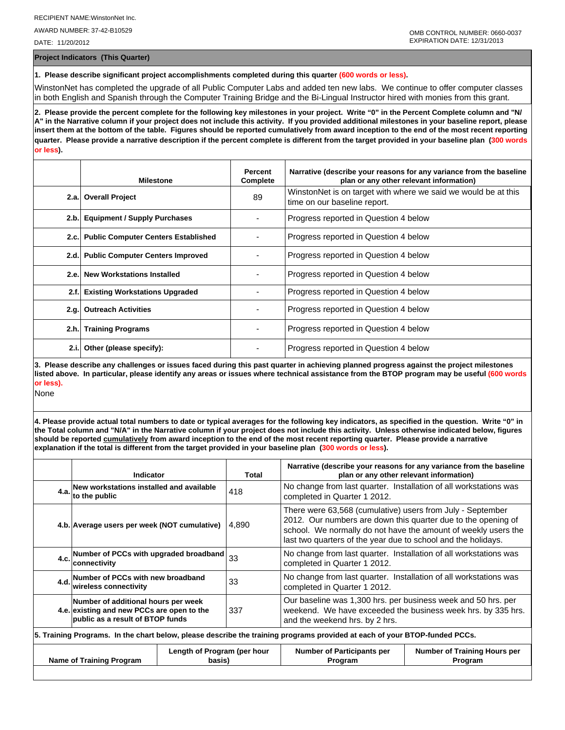AWARD NUMBER: 37-42-B10529

DATE: 11/20/2012

**Project Indicators (This Quarter)**

**1. Please describe significant project accomplishments completed during this quarter (600 words or less).**

WinstonNet has completed the upgrade of all Public Computer Labs and added ten new labs. We continue to offer computer classes in both English and Spanish through the Computer Training Bridge and the Bi-Lingual Instructor hired with monies from this grant.

**2. Please provide the percent complete for the following key milestones in your project. Write "0" in the Percent Complete column and "N/ A" in the Narrative column if your project does not include this activity. If you provided additional milestones in your baseline report, please insert them at the bottom of the table. Figures should be reported cumulatively from award inception to the end of the most recent reporting quarter. Please provide a narrative description if the percent complete is different from the target provided in your baseline plan (300 words or less).**

|       | <b>Milestone</b>                         | Percent<br>Complete | Narrative (describe your reasons for any variance from the baseline<br>plan or any other relevant information) |
|-------|------------------------------------------|---------------------|----------------------------------------------------------------------------------------------------------------|
|       | 2.a. Overall Project                     | 89                  | WinstonNet is on target with where we said we would be at this<br>time on our baseline report.                 |
|       | 2.b. Equipment / Supply Purchases        |                     | Progress reported in Question 4 below                                                                          |
|       | 2.c. Public Computer Centers Established |                     | Progress reported in Question 4 below                                                                          |
|       | 2.d. Public Computer Centers Improved    |                     | Progress reported in Question 4 below                                                                          |
|       | 2.e. New Workstations Installed          |                     | Progress reported in Question 4 below                                                                          |
| 2.f.  | <b>Existing Workstations Upgraded</b>    |                     | Progress reported in Question 4 below                                                                          |
|       | 2.g. Outreach Activities                 |                     | Progress reported in Question 4 below                                                                          |
|       | 2.h. Training Programs                   |                     | Progress reported in Question 4 below                                                                          |
| 2.i.l | Other (please specify):                  |                     | Progress reported in Question 4 below                                                                          |

**3. Please describe any challenges or issues faced during this past quarter in achieving planned progress against the project milestones listed above. In particular, please identify any areas or issues where technical assistance from the BTOP program may be useful (600 words or less).**

None

**4. Please provide actual total numbers to date or typical averages for the following key indicators, as specified in the question. Write "0" in the Total column and "N/A" in the Narrative column if your project does not include this activity. Unless otherwise indicated below, figures should be reported cumulatively from award inception to the end of the most recent reporting quarter. Please provide a narrative explanation if the total is different from the target provided in your baseline plan (300 words or less).** 

|                                                                                                                            | Indicator                                                                                                                                                                                                                                                                                                               | Total                                                                                                                                                                  |                                                                                                   | Narrative (describe your reasons for any variance from the baseline<br>plan or any other relevant information) |  |  |
|----------------------------------------------------------------------------------------------------------------------------|-------------------------------------------------------------------------------------------------------------------------------------------------------------------------------------------------------------------------------------------------------------------------------------------------------------------------|------------------------------------------------------------------------------------------------------------------------------------------------------------------------|---------------------------------------------------------------------------------------------------|----------------------------------------------------------------------------------------------------------------|--|--|
|                                                                                                                            | 4.a. New workstations installed and available<br>4.a. to the public                                                                                                                                                                                                                                                     | 418                                                                                                                                                                    | No change from last quarter. Installation of all workstations was<br>completed in Quarter 1 2012. |                                                                                                                |  |  |
|                                                                                                                            | There were 63,568 (cumulative) users from July - September<br>2012. Our numbers are down this quarter due to the opening of<br>4.b. Average users per week (NOT cumulative)<br>4,890<br>school. We normally do not have the amount of weekly users the<br>last two quarters of the year due to school and the holidays. |                                                                                                                                                                        |                                                                                                   |                                                                                                                |  |  |
|                                                                                                                            | 4.c. Number of PCCs with upgraded broadband $33$<br>lconnectivitv                                                                                                                                                                                                                                                       |                                                                                                                                                                        | No change from last quarter. Installation of all workstations was<br>completed in Quarter 1 2012. |                                                                                                                |  |  |
|                                                                                                                            | No change from last quarter. Installation of all workstations was<br>4.d. Number of PCCs with new broadband<br>33<br>wireless connectivity<br>completed in Quarter 1 2012.                                                                                                                                              |                                                                                                                                                                        |                                                                                                   |                                                                                                                |  |  |
|                                                                                                                            | Number of additional hours per week<br>4.e. existing and new PCCs are open to the<br>public as a result of BTOP funds                                                                                                                                                                                                   | Our baseline was 1,300 hrs. per business week and 50 hrs. per<br>weekend. We have exceeded the business week hrs. by 335 hrs.<br>337<br>and the weekend hrs. by 2 hrs. |                                                                                                   |                                                                                                                |  |  |
| 5. Training Programs. In the chart below, please describe the training programs provided at each of your BTOP-funded PCCs. |                                                                                                                                                                                                                                                                                                                         |                                                                                                                                                                        |                                                                                                   |                                                                                                                |  |  |
|                                                                                                                            | Length of Program (per hour<br><b>Name of Training Program</b><br>basis)                                                                                                                                                                                                                                                |                                                                                                                                                                        | <b>Number of Participants per</b><br>Program                                                      | <b>Number of Training Hours per</b><br>Program                                                                 |  |  |
|                                                                                                                            |                                                                                                                                                                                                                                                                                                                         |                                                                                                                                                                        |                                                                                                   |                                                                                                                |  |  |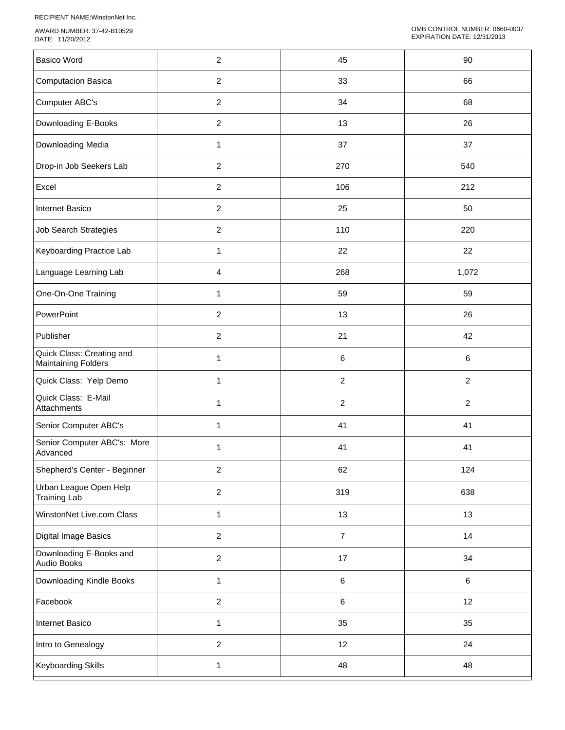RECIPIENT NAME:WinstonNet Inc.

AWARD NUMBER: 37-42-B10529 DATE: 11/20/2012

| <b>Basico Word</b><br>$\overline{c}$<br>45<br>90<br>$\overline{2}$<br><b>Computacion Basica</b><br>33<br>66<br>$\overline{c}$<br>68<br>Computer ABC's<br>34<br>$\overline{2}$<br>Downloading E-Books<br>13<br>26<br>Downloading Media<br>$\mathbf{1}$<br>37<br>37<br>$\overline{2}$<br>Drop-in Job Seekers Lab<br>270<br>540<br>Excel<br>$\overline{2}$<br>106<br>212<br>$\overline{2}$<br>Internet Basico<br>25<br>50<br>$\overline{2}$<br>Job Search Strategies<br>110<br>220<br>22<br>Keyboarding Practice Lab<br>$\mathbf{1}$<br>22<br>Language Learning Lab<br>268<br>4<br>1,072<br>One-On-One Training<br>59<br>59<br>1<br>PowerPoint<br>$\overline{2}$<br>13<br>26<br>Publisher<br>$\overline{2}$<br>21<br>42<br>Quick Class: Creating and<br>6<br>1<br>6<br><b>Maintaining Folders</b><br>Quick Class: Yelp Demo<br>$\overline{c}$<br>$\overline{a}$<br>1<br>Quick Class: E-Mail<br>$\boldsymbol{2}$<br>$\overline{c}$<br>1<br>Attachments<br>Senior Computer ABC's<br>41<br>41<br>1<br>Senior Computer ABC's: More<br>41<br>41<br>1<br>Advanced<br>Shepherd's Center - Beginner<br>$\overline{c}$<br>62<br>124<br>Urban League Open Help<br>$\overline{c}$<br>319<br>638<br><b>Training Lab</b><br>WinstonNet Live.com Class<br>13<br>13<br>1<br>Digital Image Basics<br>$\overline{a}$<br>14<br>$\overline{7}$<br>Downloading E-Books and<br>$\overline{c}$<br>17<br>34<br>Audio Books<br>Downloading Kindle Books<br>6<br>$\,6\,$<br>1<br>$\overline{2}$<br>Facebook<br>12<br>$\,6\,$<br>35<br>35<br>Internet Basico<br>$\mathbf{1}$<br>$\overline{2}$<br>12<br>24<br>Intro to Genealogy<br>Keyboarding Skills<br>48<br>48<br>$\mathbf{1}$ |  |  |
|-------------------------------------------------------------------------------------------------------------------------------------------------------------------------------------------------------------------------------------------------------------------------------------------------------------------------------------------------------------------------------------------------------------------------------------------------------------------------------------------------------------------------------------------------------------------------------------------------------------------------------------------------------------------------------------------------------------------------------------------------------------------------------------------------------------------------------------------------------------------------------------------------------------------------------------------------------------------------------------------------------------------------------------------------------------------------------------------------------------------------------------------------------------------------------------------------------------------------------------------------------------------------------------------------------------------------------------------------------------------------------------------------------------------------------------------------------------------------------------------------------------------------------------------------------------------------------------------------------------------------------------------------------|--|--|
|                                                                                                                                                                                                                                                                                                                                                                                                                                                                                                                                                                                                                                                                                                                                                                                                                                                                                                                                                                                                                                                                                                                                                                                                                                                                                                                                                                                                                                                                                                                                                                                                                                                       |  |  |
|                                                                                                                                                                                                                                                                                                                                                                                                                                                                                                                                                                                                                                                                                                                                                                                                                                                                                                                                                                                                                                                                                                                                                                                                                                                                                                                                                                                                                                                                                                                                                                                                                                                       |  |  |
|                                                                                                                                                                                                                                                                                                                                                                                                                                                                                                                                                                                                                                                                                                                                                                                                                                                                                                                                                                                                                                                                                                                                                                                                                                                                                                                                                                                                                                                                                                                                                                                                                                                       |  |  |
|                                                                                                                                                                                                                                                                                                                                                                                                                                                                                                                                                                                                                                                                                                                                                                                                                                                                                                                                                                                                                                                                                                                                                                                                                                                                                                                                                                                                                                                                                                                                                                                                                                                       |  |  |
|                                                                                                                                                                                                                                                                                                                                                                                                                                                                                                                                                                                                                                                                                                                                                                                                                                                                                                                                                                                                                                                                                                                                                                                                                                                                                                                                                                                                                                                                                                                                                                                                                                                       |  |  |
|                                                                                                                                                                                                                                                                                                                                                                                                                                                                                                                                                                                                                                                                                                                                                                                                                                                                                                                                                                                                                                                                                                                                                                                                                                                                                                                                                                                                                                                                                                                                                                                                                                                       |  |  |
|                                                                                                                                                                                                                                                                                                                                                                                                                                                                                                                                                                                                                                                                                                                                                                                                                                                                                                                                                                                                                                                                                                                                                                                                                                                                                                                                                                                                                                                                                                                                                                                                                                                       |  |  |
|                                                                                                                                                                                                                                                                                                                                                                                                                                                                                                                                                                                                                                                                                                                                                                                                                                                                                                                                                                                                                                                                                                                                                                                                                                                                                                                                                                                                                                                                                                                                                                                                                                                       |  |  |
|                                                                                                                                                                                                                                                                                                                                                                                                                                                                                                                                                                                                                                                                                                                                                                                                                                                                                                                                                                                                                                                                                                                                                                                                                                                                                                                                                                                                                                                                                                                                                                                                                                                       |  |  |
|                                                                                                                                                                                                                                                                                                                                                                                                                                                                                                                                                                                                                                                                                                                                                                                                                                                                                                                                                                                                                                                                                                                                                                                                                                                                                                                                                                                                                                                                                                                                                                                                                                                       |  |  |
|                                                                                                                                                                                                                                                                                                                                                                                                                                                                                                                                                                                                                                                                                                                                                                                                                                                                                                                                                                                                                                                                                                                                                                                                                                                                                                                                                                                                                                                                                                                                                                                                                                                       |  |  |
|                                                                                                                                                                                                                                                                                                                                                                                                                                                                                                                                                                                                                                                                                                                                                                                                                                                                                                                                                                                                                                                                                                                                                                                                                                                                                                                                                                                                                                                                                                                                                                                                                                                       |  |  |
|                                                                                                                                                                                                                                                                                                                                                                                                                                                                                                                                                                                                                                                                                                                                                                                                                                                                                                                                                                                                                                                                                                                                                                                                                                                                                                                                                                                                                                                                                                                                                                                                                                                       |  |  |
|                                                                                                                                                                                                                                                                                                                                                                                                                                                                                                                                                                                                                                                                                                                                                                                                                                                                                                                                                                                                                                                                                                                                                                                                                                                                                                                                                                                                                                                                                                                                                                                                                                                       |  |  |
|                                                                                                                                                                                                                                                                                                                                                                                                                                                                                                                                                                                                                                                                                                                                                                                                                                                                                                                                                                                                                                                                                                                                                                                                                                                                                                                                                                                                                                                                                                                                                                                                                                                       |  |  |
|                                                                                                                                                                                                                                                                                                                                                                                                                                                                                                                                                                                                                                                                                                                                                                                                                                                                                                                                                                                                                                                                                                                                                                                                                                                                                                                                                                                                                                                                                                                                                                                                                                                       |  |  |
|                                                                                                                                                                                                                                                                                                                                                                                                                                                                                                                                                                                                                                                                                                                                                                                                                                                                                                                                                                                                                                                                                                                                                                                                                                                                                                                                                                                                                                                                                                                                                                                                                                                       |  |  |
|                                                                                                                                                                                                                                                                                                                                                                                                                                                                                                                                                                                                                                                                                                                                                                                                                                                                                                                                                                                                                                                                                                                                                                                                                                                                                                                                                                                                                                                                                                                                                                                                                                                       |  |  |
|                                                                                                                                                                                                                                                                                                                                                                                                                                                                                                                                                                                                                                                                                                                                                                                                                                                                                                                                                                                                                                                                                                                                                                                                                                                                                                                                                                                                                                                                                                                                                                                                                                                       |  |  |
|                                                                                                                                                                                                                                                                                                                                                                                                                                                                                                                                                                                                                                                                                                                                                                                                                                                                                                                                                                                                                                                                                                                                                                                                                                                                                                                                                                                                                                                                                                                                                                                                                                                       |  |  |
|                                                                                                                                                                                                                                                                                                                                                                                                                                                                                                                                                                                                                                                                                                                                                                                                                                                                                                                                                                                                                                                                                                                                                                                                                                                                                                                                                                                                                                                                                                                                                                                                                                                       |  |  |
|                                                                                                                                                                                                                                                                                                                                                                                                                                                                                                                                                                                                                                                                                                                                                                                                                                                                                                                                                                                                                                                                                                                                                                                                                                                                                                                                                                                                                                                                                                                                                                                                                                                       |  |  |
|                                                                                                                                                                                                                                                                                                                                                                                                                                                                                                                                                                                                                                                                                                                                                                                                                                                                                                                                                                                                                                                                                                                                                                                                                                                                                                                                                                                                                                                                                                                                                                                                                                                       |  |  |
|                                                                                                                                                                                                                                                                                                                                                                                                                                                                                                                                                                                                                                                                                                                                                                                                                                                                                                                                                                                                                                                                                                                                                                                                                                                                                                                                                                                                                                                                                                                                                                                                                                                       |  |  |
|                                                                                                                                                                                                                                                                                                                                                                                                                                                                                                                                                                                                                                                                                                                                                                                                                                                                                                                                                                                                                                                                                                                                                                                                                                                                                                                                                                                                                                                                                                                                                                                                                                                       |  |  |
|                                                                                                                                                                                                                                                                                                                                                                                                                                                                                                                                                                                                                                                                                                                                                                                                                                                                                                                                                                                                                                                                                                                                                                                                                                                                                                                                                                                                                                                                                                                                                                                                                                                       |  |  |
|                                                                                                                                                                                                                                                                                                                                                                                                                                                                                                                                                                                                                                                                                                                                                                                                                                                                                                                                                                                                                                                                                                                                                                                                                                                                                                                                                                                                                                                                                                                                                                                                                                                       |  |  |
|                                                                                                                                                                                                                                                                                                                                                                                                                                                                                                                                                                                                                                                                                                                                                                                                                                                                                                                                                                                                                                                                                                                                                                                                                                                                                                                                                                                                                                                                                                                                                                                                                                                       |  |  |
|                                                                                                                                                                                                                                                                                                                                                                                                                                                                                                                                                                                                                                                                                                                                                                                                                                                                                                                                                                                                                                                                                                                                                                                                                                                                                                                                                                                                                                                                                                                                                                                                                                                       |  |  |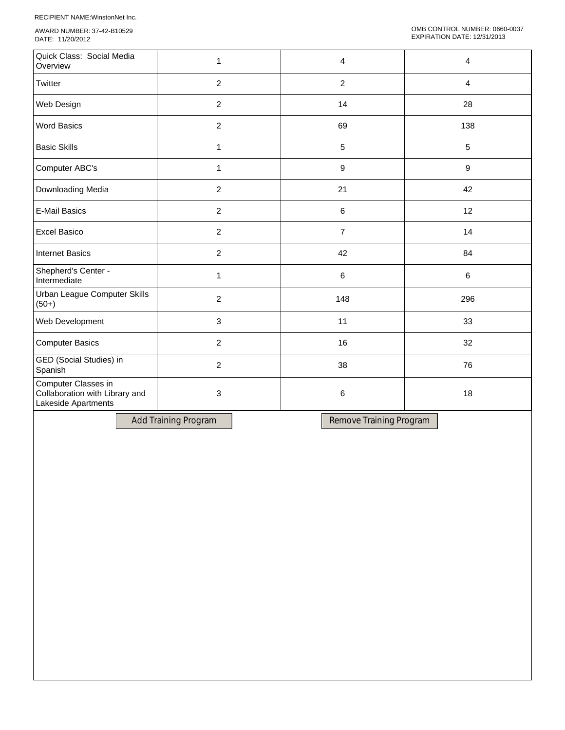RECIPIENT NAME:WinstonNet Inc.

AWARD NUMBER: 37-42-B10529 DATE: 11/20/2012

| Quick Class: Social Media<br>Overview                                        | 1              | 4              | 4       |
|------------------------------------------------------------------------------|----------------|----------------|---------|
| Twitter                                                                      | $\overline{2}$ | $\overline{2}$ | 4       |
| Web Design                                                                   | $\overline{2}$ | 14             | 28      |
| <b>Word Basics</b>                                                           | $\overline{2}$ | 69             | 138     |
| <b>Basic Skills</b>                                                          | $\mathbf{1}$   | 5              | 5       |
| Computer ABC's                                                               | $\mathbf{1}$   | 9              | $9\,$   |
| Downloading Media                                                            | $\overline{2}$ | 21             | 42      |
| <b>E-Mail Basics</b>                                                         | $\overline{2}$ | 6              | 12      |
| <b>Excel Basico</b>                                                          | $\overline{2}$ | $\overline{7}$ | 14      |
| <b>Internet Basics</b>                                                       | $\overline{2}$ | 42             | 84      |
| Shepherd's Center -<br>Intermediate                                          | $\mathbf{1}$   | 6              | $\,6\,$ |
| Urban League Computer Skills<br>$(50+)$                                      | $\overline{2}$ | 148            | 296     |
| Web Development                                                              | 3              | 11             | 33      |
| <b>Computer Basics</b>                                                       | $\overline{2}$ | 16             | 32      |
| GED (Social Studies) in<br>Spanish                                           | $\overline{2}$ | 38             | 76      |
| Computer Classes in<br>Collaboration with Library and<br>Lakeside Apartments | 3              | 6              | 18      |

Add Training Program | Remove Training Program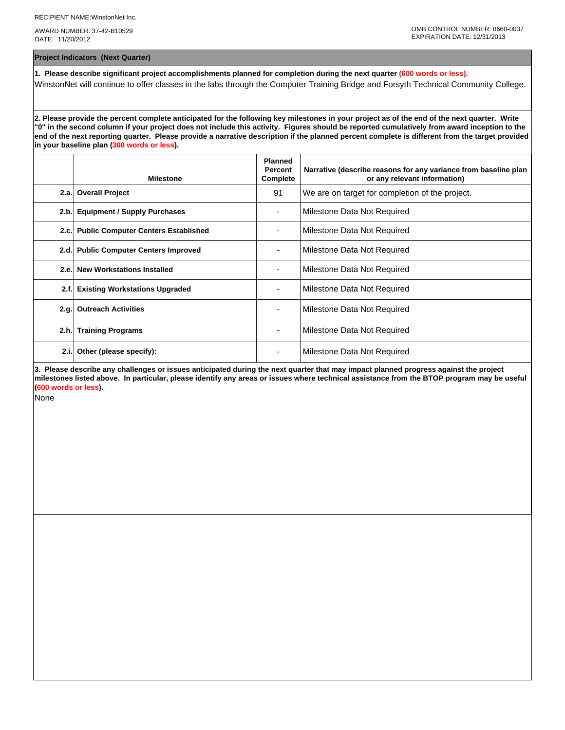AWARD NUMBER: 37-42-B10529 DATE: 11/20/2012

**Project Indicators (Next Quarter)**

**1. Please describe significant project accomplishments planned for completion during the next quarter (600 words or less).** WinstonNet will continue to offer classes in the labs through the Computer Training Bridge and Forsyth Technical Community College.

**2. Please provide the percent complete anticipated for the following key milestones in your project as of the end of the next quarter. Write "0" in the second column if your project does not include this activity. Figures should be reported cumulatively from award inception to the end of the next reporting quarter. Please provide a narrative description if the planned percent complete is different from the target provided in your baseline plan (300 words or less).**

|      | <b>Milestone</b>                         | <b>Planned</b><br><b>Percent</b><br>Complete | Narrative (describe reasons for any variance from baseline plan<br>or any relevant information) |
|------|------------------------------------------|----------------------------------------------|-------------------------------------------------------------------------------------------------|
|      | 2.a. Overall Project                     | 91                                           | We are on target for completion of the project.                                                 |
| 2.b. | <b>Equipment / Supply Purchases</b>      |                                              | Milestone Data Not Required                                                                     |
|      | 2.c. Public Computer Centers Established |                                              | Milestone Data Not Required                                                                     |
|      | 2.d. Public Computer Centers Improved    |                                              | Milestone Data Not Required                                                                     |
| 2.e. | <b>New Workstations Installed</b>        |                                              | Milestone Data Not Required                                                                     |
| 2.f. | <b>Existing Workstations Upgraded</b>    |                                              | Milestone Data Not Required                                                                     |
| 2.g. | <b>Outreach Activities</b>               |                                              | Milestone Data Not Required                                                                     |
| 2.h. | <b>Training Programs</b>                 | ٠                                            | Milestone Data Not Required                                                                     |
| 2.i. | Other (please specify):                  |                                              | Milestone Data Not Required                                                                     |

**3. Please describe any challenges or issues anticipated during the next quarter that may impact planned progress against the project milestones listed above. In particular, please identify any areas or issues where technical assistance from the BTOP program may be useful (600 words or less).**

None